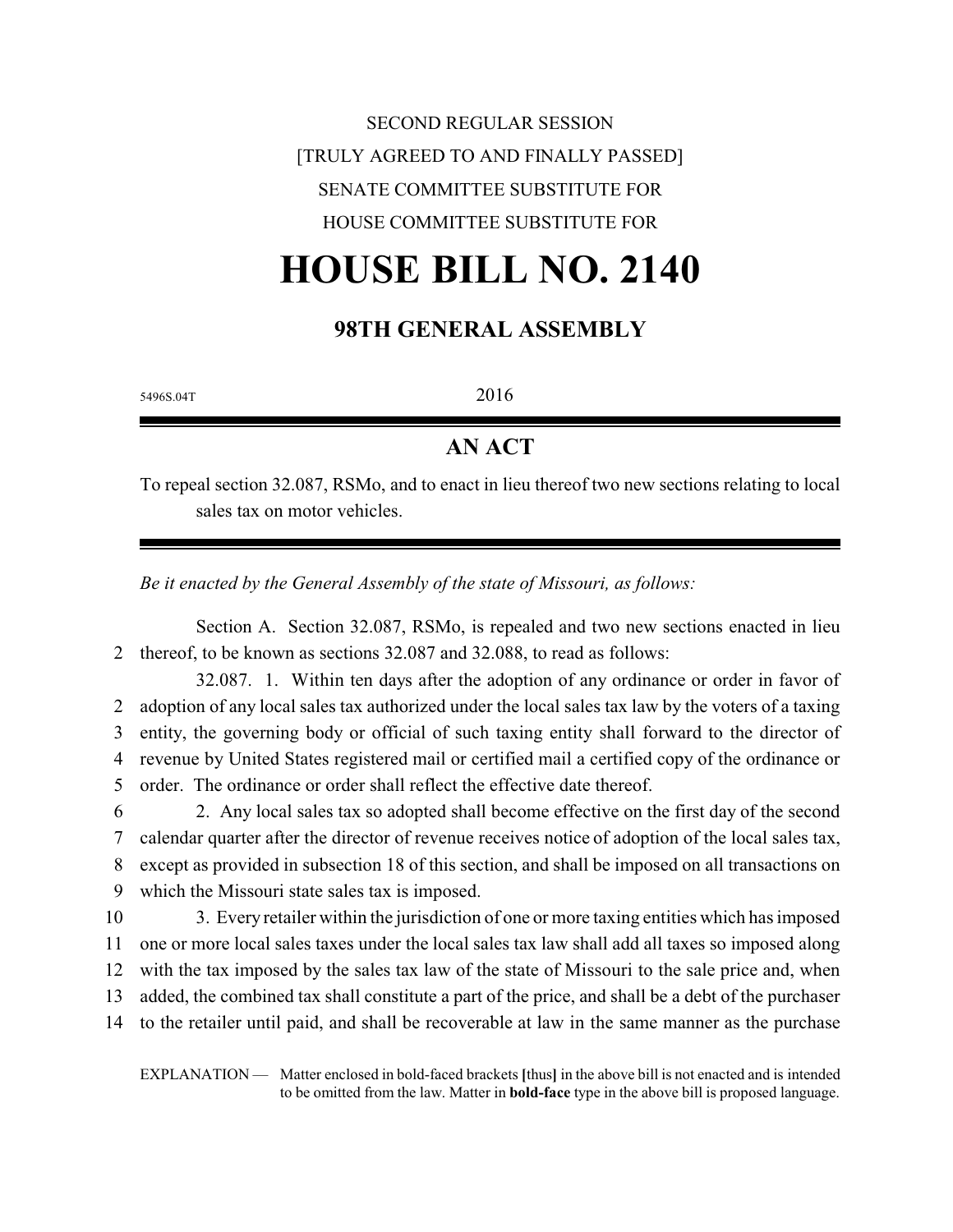# SECOND REGULAR SESSION [TRULY AGREED TO AND FINALLY PASSED] SENATE COMMITTEE SUBSTITUTE FOR HOUSE COMMITTEE SUBSTITUTE FOR

# **HOUSE BILL NO. 2140**

### **98TH GENERAL ASSEMBLY**

5496S.04T 2016

## **AN ACT**

To repeal section 32.087, RSMo, and to enact in lieu thereof two new sections relating to local sales tax on motor vehicles.

*Be it enacted by the General Assembly of the state of Missouri, as follows:*

Section A. Section 32.087, RSMo, is repealed and two new sections enacted in lieu 2 thereof, to be known as sections 32.087 and 32.088, to read as follows:

32.087. 1. Within ten days after the adoption of any ordinance or order in favor of adoption of any local sales tax authorized under the local sales tax law by the voters of a taxing entity, the governing body or official of such taxing entity shall forward to the director of revenue by United States registered mail or certified mail a certified copy of the ordinance or order. The ordinance or order shall reflect the effective date thereof.

 2. Any local sales tax so adopted shall become effective on the first day of the second calendar quarter after the director of revenue receives notice of adoption of the local sales tax, except as provided in subsection 18 of this section, and shall be imposed on all transactions on which the Missouri state sales tax is imposed.

 3. Every retailer within the jurisdiction of one or more taxing entities which has imposed one or more local sales taxes under the local sales tax law shall add all taxes so imposed along with the tax imposed by the sales tax law of the state of Missouri to the sale price and, when added, the combined tax shall constitute a part of the price, and shall be a debt of the purchaser to the retailer until paid, and shall be recoverable at law in the same manner as the purchase

EXPLANATION — Matter enclosed in bold-faced brackets **[**thus**]** in the above bill is not enacted and is intended to be omitted from the law. Matter in **bold-face** type in the above bill is proposed language.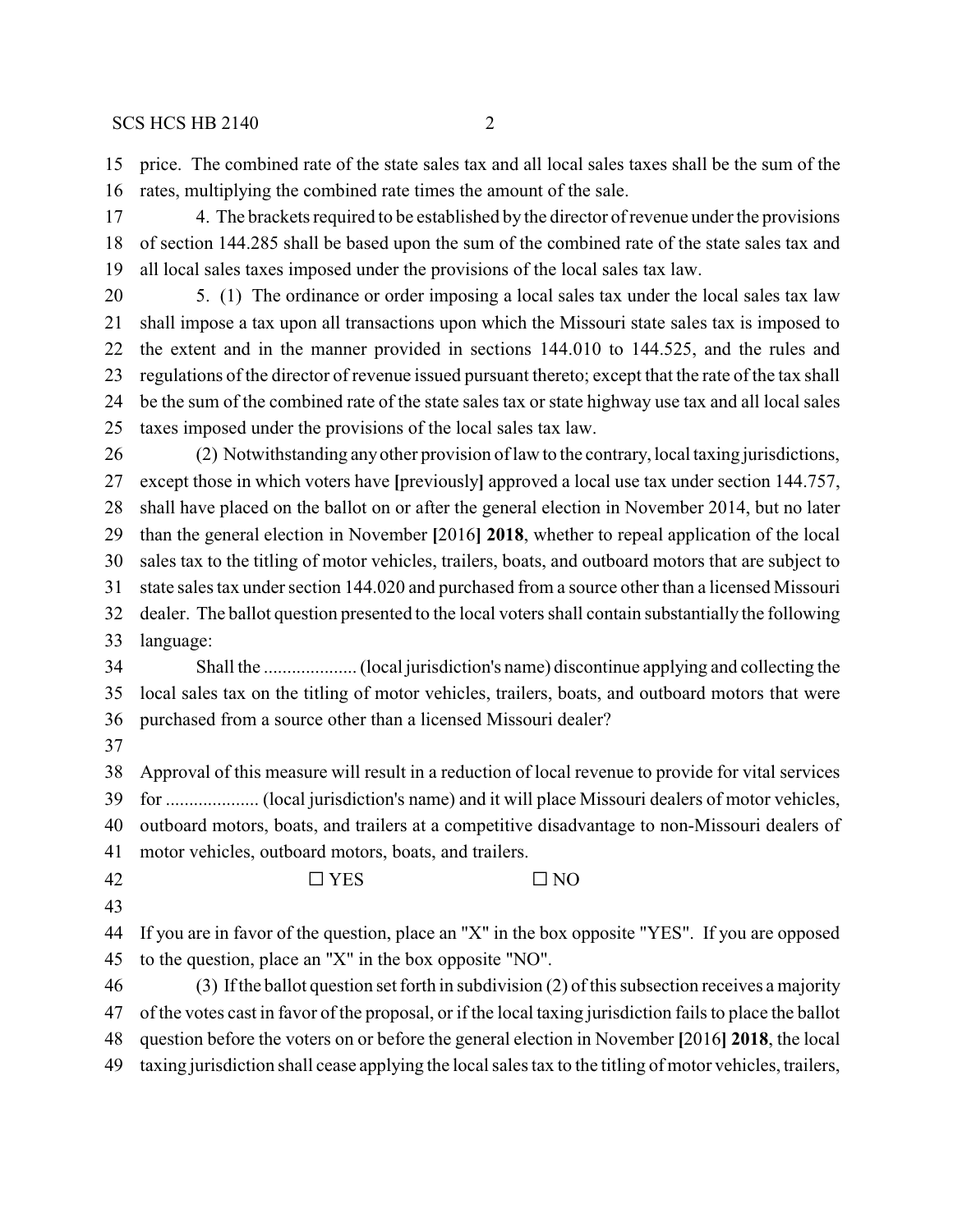price. The combined rate of the state sales tax and all local sales taxes shall be the sum of the rates, multiplying the combined rate times the amount of the sale.

 4. The brackets required to be established by the director of revenue under the provisions of section 144.285 shall be based upon the sum of the combined rate of the state sales tax and all local sales taxes imposed under the provisions of the local sales tax law.

- 5. (1) The ordinance or order imposing a local sales tax under the local sales tax law shall impose a tax upon all transactions upon which the Missouri state sales tax is imposed to the extent and in the manner provided in sections 144.010 to 144.525, and the rules and regulations of the director of revenue issued pursuant thereto; except that the rate of the tax shall be the sum of the combined rate of the state sales tax or state highway use tax and all local sales taxes imposed under the provisions of the local sales tax law.
- (2) Notwithstanding anyother provision of law to the contrary, local taxing jurisdictions, except those in which voters have **[**previously**]** approved a local use tax under section 144.757, shall have placed on the ballot on or after the general election in November 2014, but no later than the general election in November **[**2016**] 2018**, whether to repeal application of the local sales tax to the titling of motor vehicles, trailers, boats, and outboard motors that are subject to state sales tax under section 144.020 and purchased from a source other than a licensed Missouri dealer. The ballot question presented to the local voters shall contain substantially the following language:
- Shall the .................... (local jurisdiction's name) discontinue applying and collecting the local sales tax on the titling of motor vehicles, trailers, boats, and outboard motors that were purchased from a source other than a licensed Missouri dealer?
- 

 Approval of this measure will result in a reduction of local revenue to provide for vital services for .................... (local jurisdiction's name) and it will place Missouri dealers of motor vehicles, outboard motors, boats, and trailers at a competitive disadvantage to non-Missouri dealers of

- motor vehicles, outboard motors, boats, and trailers.
- 42  $\Box$  YES  $\Box$  NO
- 

 If you are in favor of the question, place an "X" in the box opposite "YES". If you are opposed to the question, place an "X" in the box opposite "NO".

 (3) If the ballot question set forth in subdivision (2) of this subsection receives a majority of the votes cast in favor of the proposal, or if the local taxing jurisdiction fails to place the ballot question before the voters on or before the general election in November **[**2016**] 2018**, the local taxing jurisdiction shall cease applying the local sales tax to the titling of motor vehicles, trailers,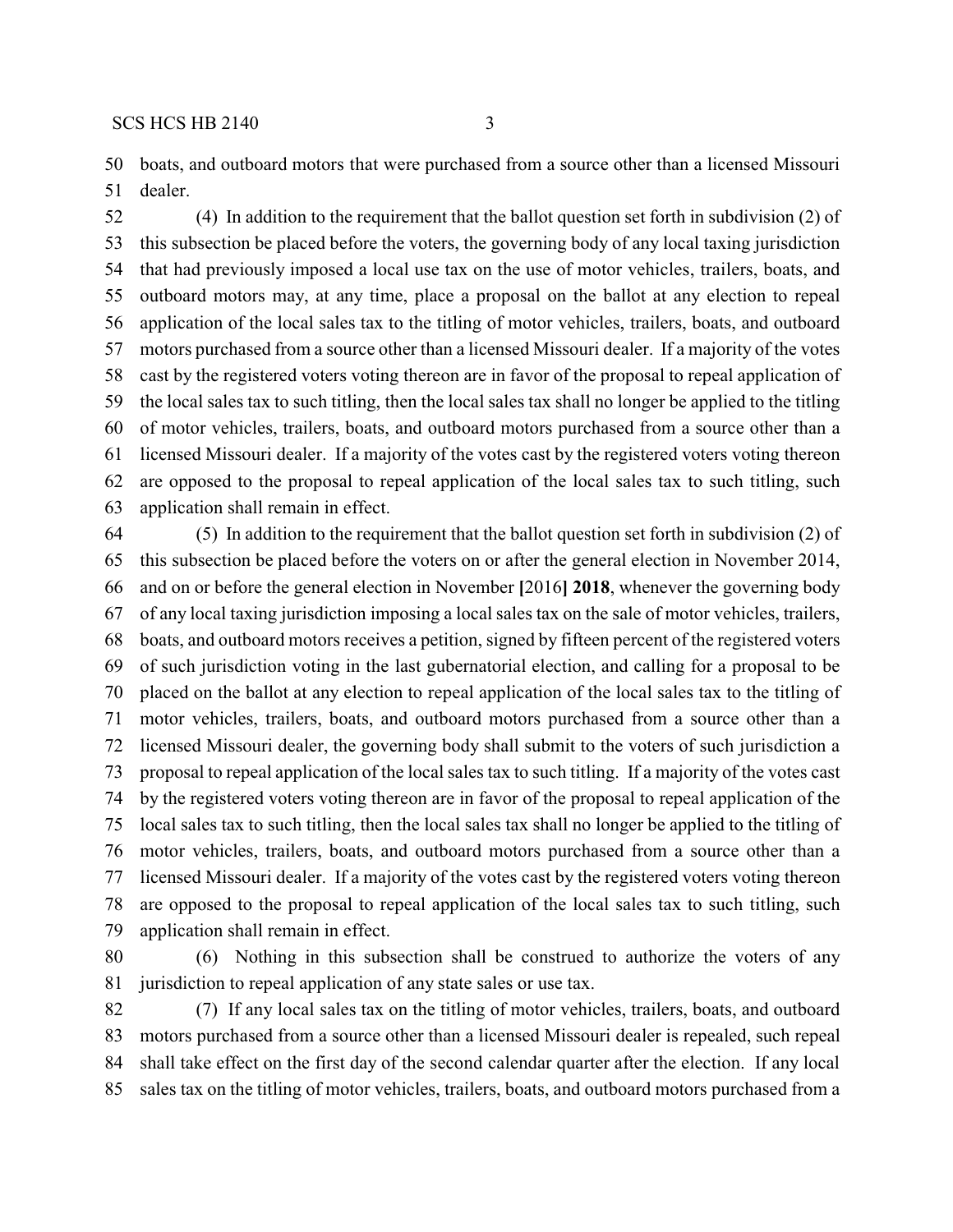boats, and outboard motors that were purchased from a source other than a licensed Missouri dealer.

 (4) In addition to the requirement that the ballot question set forth in subdivision (2) of this subsection be placed before the voters, the governing body of any local taxing jurisdiction that had previously imposed a local use tax on the use of motor vehicles, trailers, boats, and outboard motors may, at any time, place a proposal on the ballot at any election to repeal application of the local sales tax to the titling of motor vehicles, trailers, boats, and outboard motors purchased from a source other than a licensed Missouri dealer. If a majority of the votes cast by the registered voters voting thereon are in favor of the proposal to repeal application of the local sales tax to such titling, then the local sales tax shall no longer be applied to the titling of motor vehicles, trailers, boats, and outboard motors purchased from a source other than a licensed Missouri dealer. If a majority of the votes cast by the registered voters voting thereon are opposed to the proposal to repeal application of the local sales tax to such titling, such application shall remain in effect.

 (5) In addition to the requirement that the ballot question set forth in subdivision (2) of this subsection be placed before the voters on or after the general election in November 2014, and on or before the general election in November **[**2016**] 2018**, whenever the governing body of any local taxing jurisdiction imposing a local sales tax on the sale of motor vehicles, trailers, boats, and outboard motors receives a petition, signed by fifteen percent of the registered voters of such jurisdiction voting in the last gubernatorial election, and calling for a proposal to be placed on the ballot at any election to repeal application of the local sales tax to the titling of motor vehicles, trailers, boats, and outboard motors purchased from a source other than a licensed Missouri dealer, the governing body shall submit to the voters of such jurisdiction a proposal to repeal application of the local sales tax to such titling. If a majority of the votes cast by the registered voters voting thereon are in favor of the proposal to repeal application of the local sales tax to such titling, then the local sales tax shall no longer be applied to the titling of motor vehicles, trailers, boats, and outboard motors purchased from a source other than a licensed Missouri dealer. If a majority of the votes cast by the registered voters voting thereon are opposed to the proposal to repeal application of the local sales tax to such titling, such application shall remain in effect.

 (6) Nothing in this subsection shall be construed to authorize the voters of any jurisdiction to repeal application of any state sales or use tax.

 (7) If any local sales tax on the titling of motor vehicles, trailers, boats, and outboard motors purchased from a source other than a licensed Missouri dealer is repealed, such repeal shall take effect on the first day of the second calendar quarter after the election. If any local sales tax on the titling of motor vehicles, trailers, boats, and outboard motors purchased from a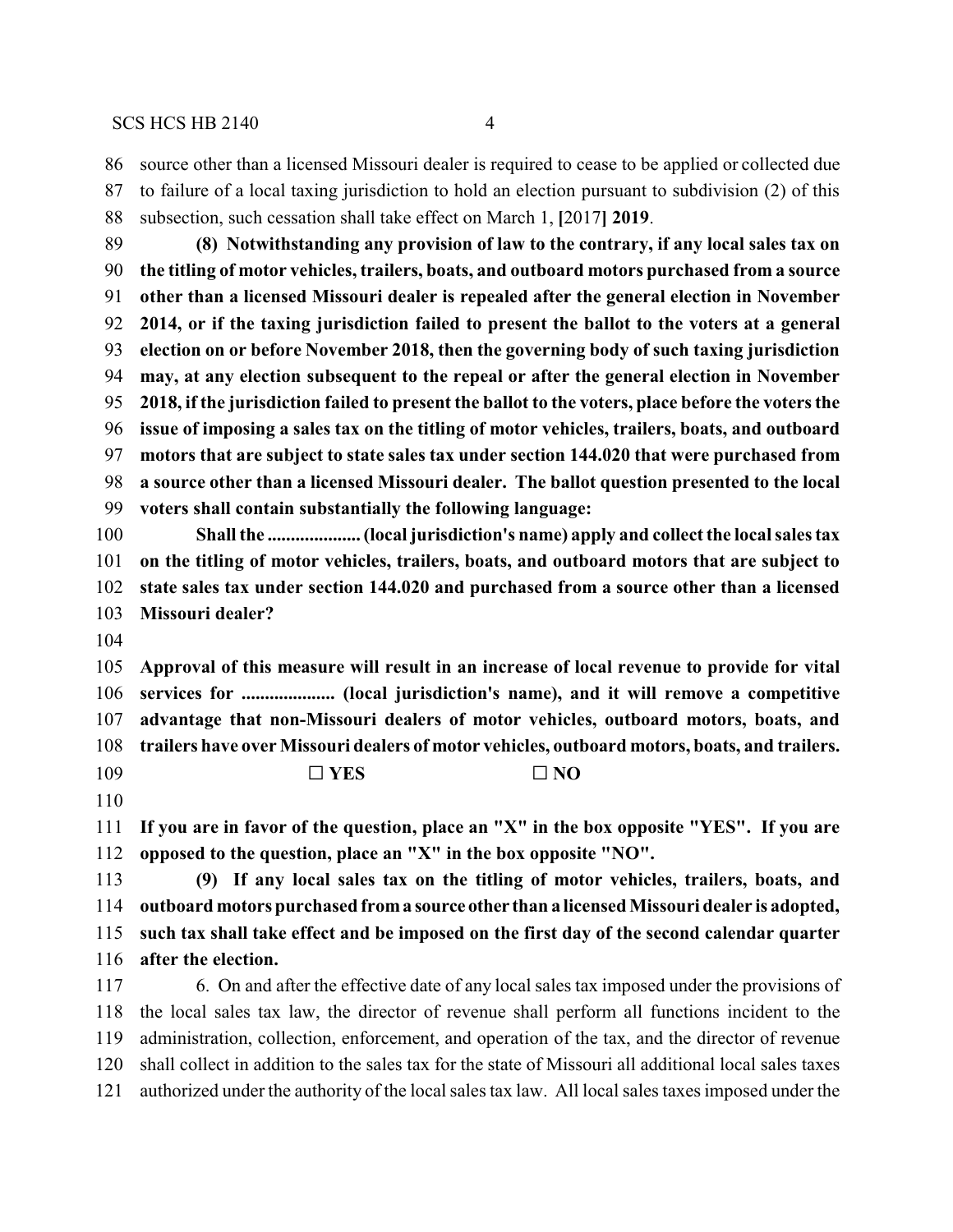source other than a licensed Missouri dealer is required to cease to be applied or collected due

 to failure of a local taxing jurisdiction to hold an election pursuant to subdivision (2) of this subsection, such cessation shall take effect on March 1, **[**2017**] 2019**. **(8) Notwithstanding any provision of law to the contrary, if any local sales tax on the titling of motor vehicles, trailers, boats, and outboard motors purchased from a source other than a licensed Missouri dealer is repealed after the general election in November 2014, or if the taxing jurisdiction failed to present the ballot to the voters at a general election on or before November 2018, then the governing body of such taxing jurisdiction may, at any election subsequent to the repeal or after the general election in November 2018, if the jurisdiction failed to present the ballot to the voters, place before the voters the issue of imposing a sales tax on the titling of motor vehicles, trailers, boats, and outboard motors that are subject to state sales tax under section 144.020 that were purchased from a source other than a licensed Missouri dealer. The ballot question presented to the local voters shall contain substantially the following language: Shall the .................... (local jurisdiction's name) apply and collect the local sales tax on the titling of motor vehicles, trailers, boats, and outboard motors that are subject to state sales tax under section 144.020 and purchased from a source other than a licensed Missouri dealer? Approval of this measure will result in an increase of local revenue to provide for vital services for .................... (local jurisdiction's name), and it will remove a competitive advantage that non-Missouri dealers of motor vehicles, outboard motors, boats, and trailers have over Missouri dealers of motor vehicles, outboard motors, boats, and trailers. C** YES C NO **If you are in favor of the question, place an "X" in the box opposite "YES". If you are opposed to the question, place an "X" in the box opposite "NO". (9) If any local sales tax on the titling of motor vehicles, trailers, boats, and outboard motors purchased froma source other than a licensed Missouri dealer is adopted, such tax shall take effect and be imposed on the first day of the second calendar quarter after the election.**

 6. On and after the effective date of any local sales tax imposed under the provisions of the local sales tax law, the director of revenue shall perform all functions incident to the administration, collection, enforcement, and operation of the tax, and the director of revenue shall collect in addition to the sales tax for the state of Missouri all additional local sales taxes authorized under the authority of the local sales tax law. All local sales taxes imposed under the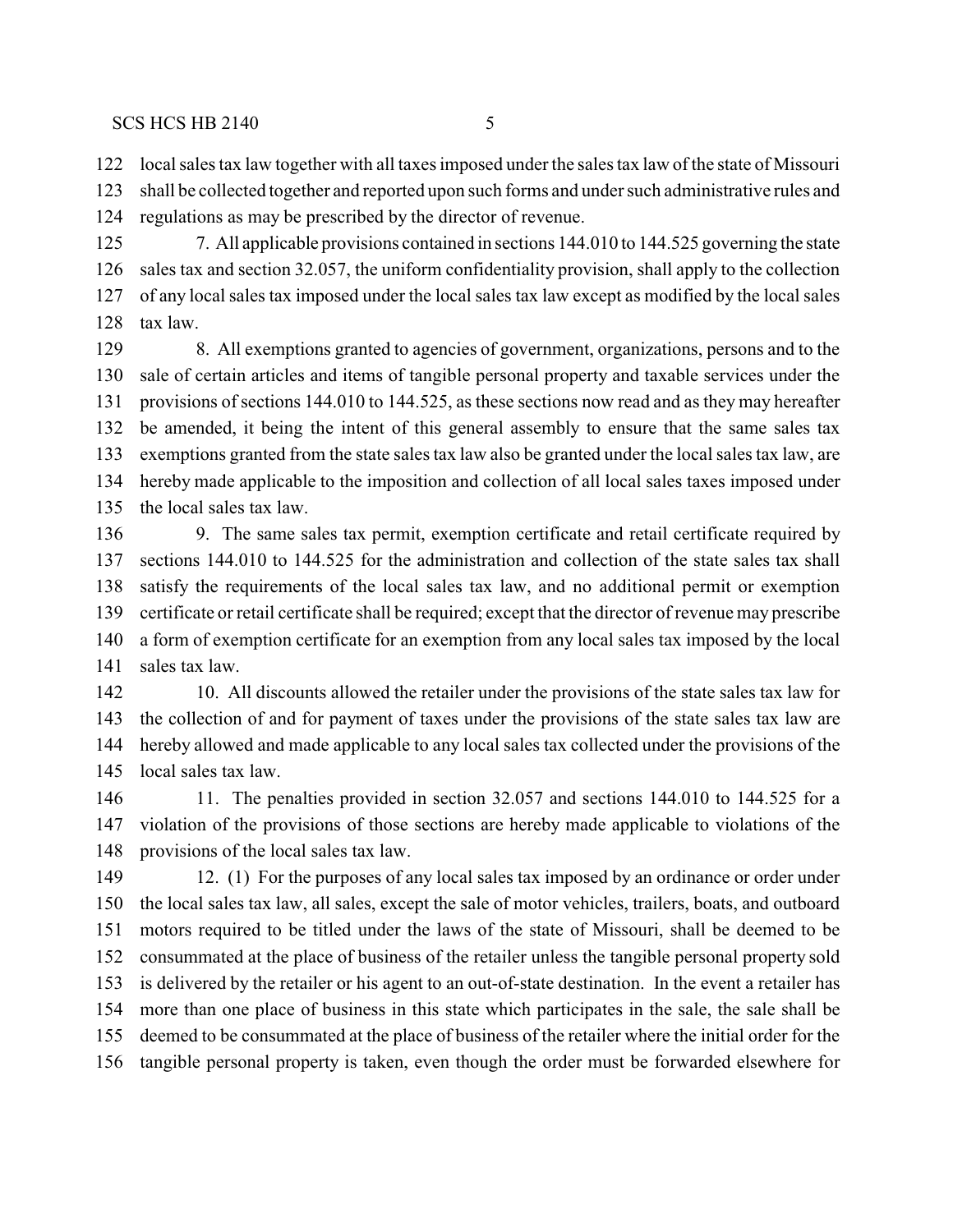local sales tax law together with all taxes imposed under the sales tax law of the state of Missouri

 shall be collected together and reported upon such forms and under such administrative rules and regulations as may be prescribed by the director of revenue.

 7. All applicable provisions contained in sections 144.010 to 144.525 governing the state sales tax and section 32.057, the uniform confidentiality provision, shall apply to the collection of any local sales tax imposed under the local sales tax law except as modified by the local sales tax law.

 8. All exemptions granted to agencies of government, organizations, persons and to the sale of certain articles and items of tangible personal property and taxable services under the provisions of sections 144.010 to 144.525, as these sections now read and as they may hereafter be amended, it being the intent of this general assembly to ensure that the same sales tax exemptions granted from the state sales tax law also be granted under the local sales tax law, are hereby made applicable to the imposition and collection of all local sales taxes imposed under the local sales tax law.

 9. The same sales tax permit, exemption certificate and retail certificate required by sections 144.010 to 144.525 for the administration and collection of the state sales tax shall satisfy the requirements of the local sales tax law, and no additional permit or exemption certificate or retail certificate shall be required; except that the director of revenue may prescribe a form of exemption certificate for an exemption from any local sales tax imposed by the local sales tax law.

 10. All discounts allowed the retailer under the provisions of the state sales tax law for the collection of and for payment of taxes under the provisions of the state sales tax law are hereby allowed and made applicable to any local sales tax collected under the provisions of the local sales tax law.

 11. The penalties provided in section 32.057 and sections 144.010 to 144.525 for a violation of the provisions of those sections are hereby made applicable to violations of the provisions of the local sales tax law.

 12. (1) For the purposes of any local sales tax imposed by an ordinance or order under the local sales tax law, all sales, except the sale of motor vehicles, trailers, boats, and outboard motors required to be titled under the laws of the state of Missouri, shall be deemed to be consummated at the place of business of the retailer unless the tangible personal property sold is delivered by the retailer or his agent to an out-of-state destination. In the event a retailer has more than one place of business in this state which participates in the sale, the sale shall be deemed to be consummated at the place of business of the retailer where the initial order for the tangible personal property is taken, even though the order must be forwarded elsewhere for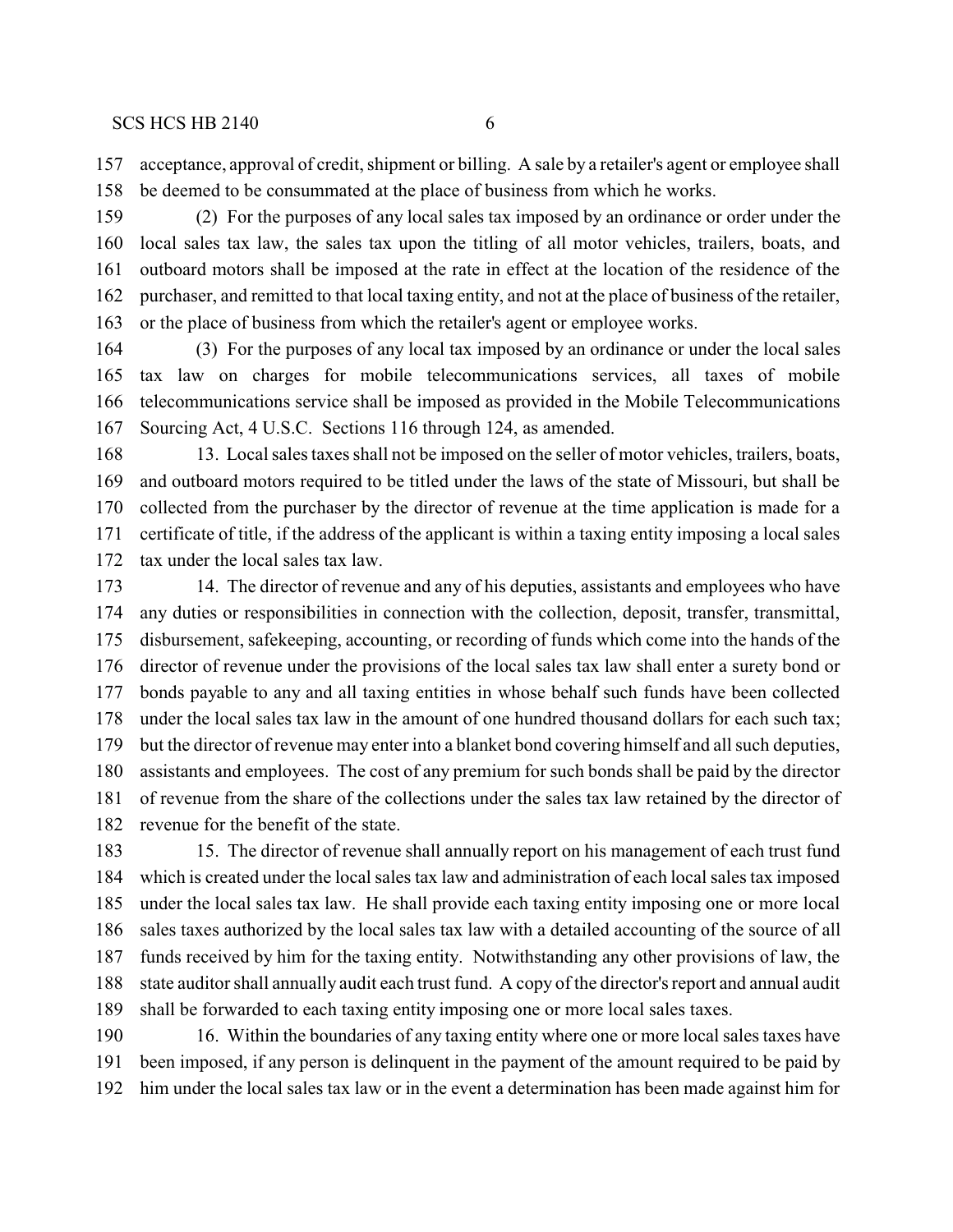acceptance, approval of credit, shipment or billing. A sale by a retailer's agent or employee shall be deemed to be consummated at the place of business from which he works.

 (2) For the purposes of any local sales tax imposed by an ordinance or order under the local sales tax law, the sales tax upon the titling of all motor vehicles, trailers, boats, and outboard motors shall be imposed at the rate in effect at the location of the residence of the purchaser, and remitted to that local taxing entity, and not at the place of business of the retailer, or the place of business from which the retailer's agent or employee works.

 (3) For the purposes of any local tax imposed by an ordinance or under the local sales tax law on charges for mobile telecommunications services, all taxes of mobile telecommunications service shall be imposed as provided in the Mobile Telecommunications Sourcing Act, 4 U.S.C. Sections 116 through 124, as amended.

 13. Local sales taxes shall not be imposed on the seller of motor vehicles, trailers, boats, and outboard motors required to be titled under the laws of the state of Missouri, but shall be collected from the purchaser by the director of revenue at the time application is made for a certificate of title, if the address of the applicant is within a taxing entity imposing a local sales tax under the local sales tax law.

 14. The director of revenue and any of his deputies, assistants and employees who have any duties or responsibilities in connection with the collection, deposit, transfer, transmittal, disbursement, safekeeping, accounting, or recording of funds which come into the hands of the director of revenue under the provisions of the local sales tax law shall enter a surety bond or bonds payable to any and all taxing entities in whose behalf such funds have been collected under the local sales tax law in the amount of one hundred thousand dollars for each such tax; but the director of revenue may enter into a blanket bond covering himself and all such deputies, assistants and employees. The cost of any premium for such bonds shall be paid by the director of revenue from the share of the collections under the sales tax law retained by the director of revenue for the benefit of the state.

 15. The director of revenue shall annually report on his management of each trust fund which is created under the local sales tax law and administration of each local sales tax imposed under the local sales tax law. He shall provide each taxing entity imposing one or more local sales taxes authorized by the local sales tax law with a detailed accounting of the source of all funds received by him for the taxing entity. Notwithstanding any other provisions of law, the state auditor shall annually audit each trust fund. A copy of the director's report and annual audit shall be forwarded to each taxing entity imposing one or more local sales taxes.

 16. Within the boundaries of any taxing entity where one or more local sales taxes have been imposed, if any person is delinquent in the payment of the amount required to be paid by him under the local sales tax law or in the event a determination has been made against him for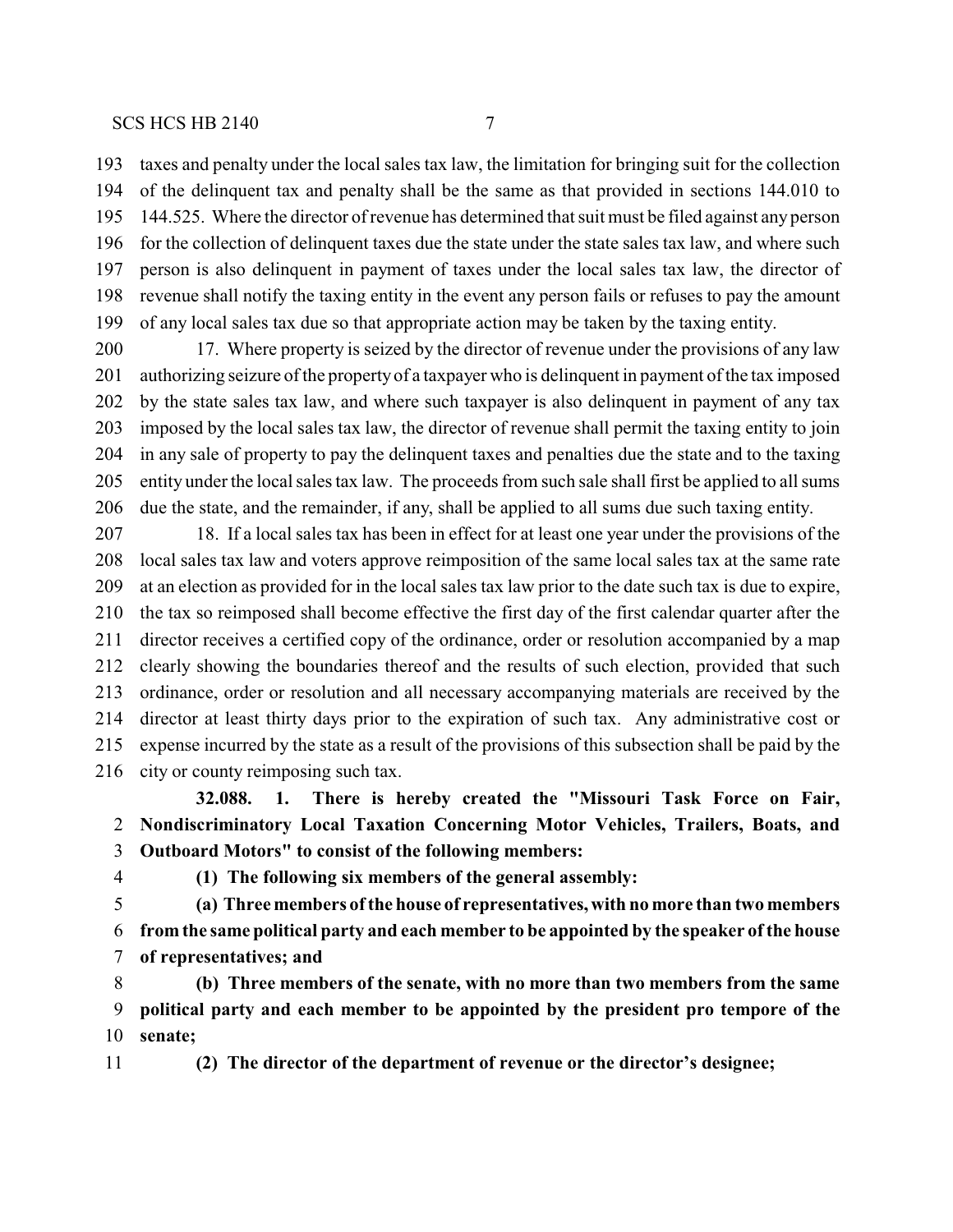taxes and penalty under the local sales tax law, the limitation for bringing suit for the collection of the delinquent tax and penalty shall be the same as that provided in sections 144.010 to 144.525. Where the director of revenue has determined that suit must be filed against any person for the collection of delinquent taxes due the state under the state sales tax law, and where such person is also delinquent in payment of taxes under the local sales tax law, the director of revenue shall notify the taxing entity in the event any person fails or refuses to pay the amount of any local sales tax due so that appropriate action may be taken by the taxing entity.

 17. Where property is seized by the director of revenue under the provisions of any law authorizing seizure of the propertyof a taxpayer who is delinquent in payment of the tax imposed by the state sales tax law, and where such taxpayer is also delinquent in payment of any tax imposed by the local sales tax law, the director of revenue shall permit the taxing entity to join in any sale of property to pay the delinquent taxes and penalties due the state and to the taxing entity under the local sales tax law. The proceeds from such sale shall first be applied to all sums due the state, and the remainder, if any, shall be applied to all sums due such taxing entity.

 18. If a local sales tax has been in effect for at least one year under the provisions of the local sales tax law and voters approve reimposition of the same local sales tax at the same rate at an election as provided for in the local sales tax law prior to the date such tax is due to expire, the tax so reimposed shall become effective the first day of the first calendar quarter after the director receives a certified copy of the ordinance, order or resolution accompanied by a map clearly showing the boundaries thereof and the results of such election, provided that such ordinance, order or resolution and all necessary accompanying materials are received by the director at least thirty days prior to the expiration of such tax. Any administrative cost or expense incurred by the state as a result of the provisions of this subsection shall be paid by the city or county reimposing such tax.

**32.088. 1. There is hereby created the "Missouri Task Force on Fair, Nondiscriminatory Local Taxation Concerning Motor Vehicles, Trailers, Boats, and Outboard Motors" to consist of the following members:**

**(1) The following six members of the general assembly:**

 **(a) Three members ofthe house of representatives, with no more than two members from the same political party and each member to be appointed by the speaker of the house of representatives; and**

 **(b) Three members of the senate, with no more than two members from the same political party and each member to be appointed by the president pro tempore of the senate;**

**(2) The director of the department of revenue or the director's designee;**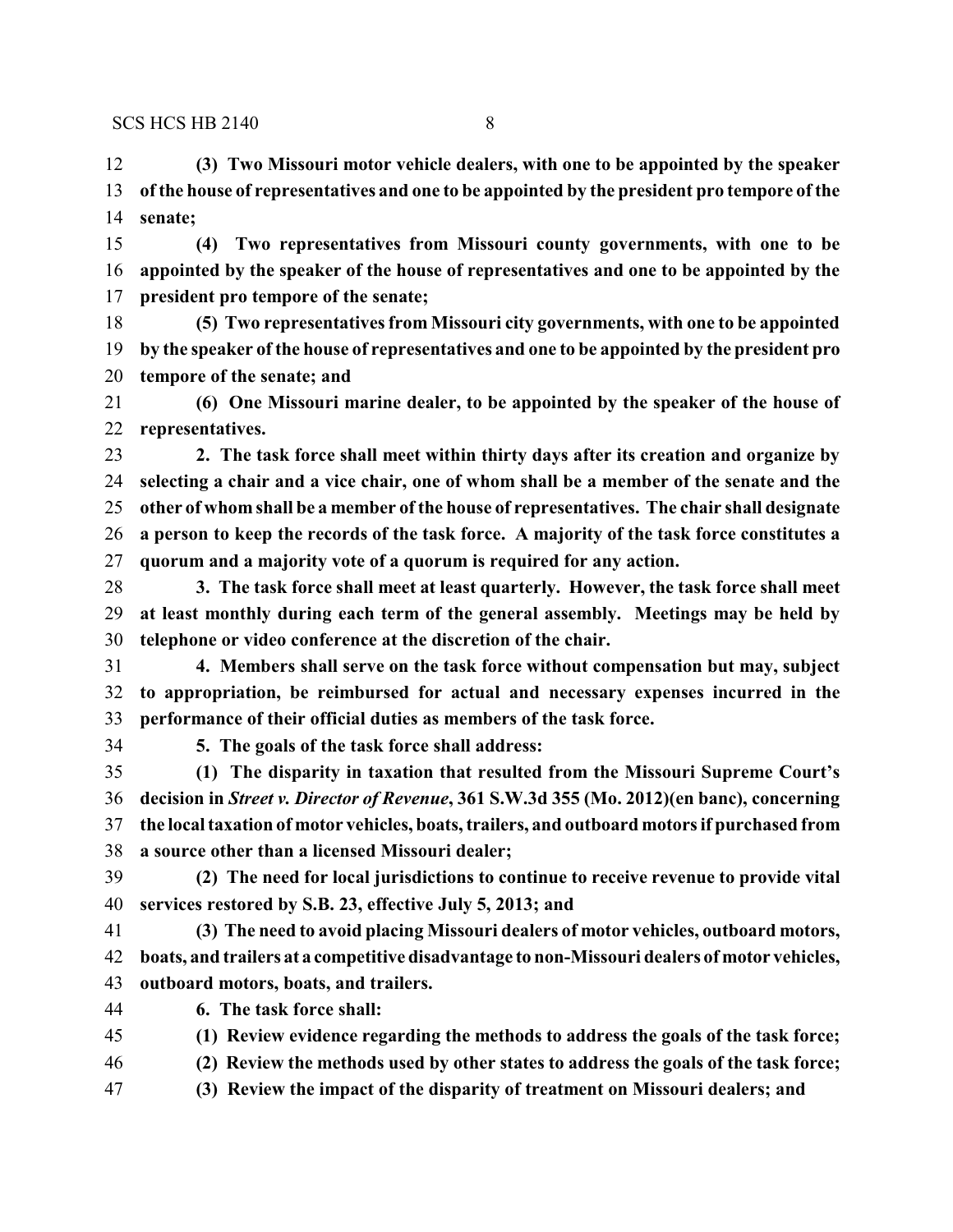**(3) Two Missouri motor vehicle dealers, with one to be appointed by the speaker of the house of representatives and one to be appointed by the president pro tempore of the senate;**

 **(4) Two representatives from Missouri county governments, with one to be appointed by the speaker of the house of representatives and one to be appointed by the president pro tempore of the senate;**

 **(5) Two representatives from Missouri city governments, with one to be appointed by the speaker of the house of representatives and one to be appointed by the president pro tempore of the senate; and**

 **(6) One Missouri marine dealer, to be appointed by the speaker of the house of representatives.**

 **2. The task force shall meet within thirty days after its creation and organize by selecting a chair and a vice chair, one of whom shall be a member of the senate and the other of whom shall be a member of the house of representatives. The chair shall designate a person to keep the records of the task force. A majority of the task force constitutes a quorum and a majority vote of a quorum is required for any action.**

 **3. The task force shall meet at least quarterly. However, the task force shall meet at least monthly during each term of the general assembly. Meetings may be held by telephone or video conference at the discretion of the chair.**

 **4. Members shall serve on the task force without compensation but may, subject to appropriation, be reimbursed for actual and necessary expenses incurred in the performance of their official duties as members of the task force.**

**5. The goals of the task force shall address:**

 **(1) The disparity in taxation that resulted from the Missouri Supreme Court's decision in** *Street v. Director of Revenue***, 361 S.W.3d 355 (Mo. 2012)(en banc), concerning the local taxation of motor vehicles, boats, trailers, and outboard motors if purchased from a source other than a licensed Missouri dealer;**

 **(2) The need for local jurisdictions to continue to receive revenue to provide vital services restored by S.B. 23, effective July 5, 2013; and**

 **(3) The need to avoid placing Missouri dealers of motor vehicles, outboard motors, boats, and trailers at a competitive disadvantage to non-Missouri dealers of motor vehicles, outboard motors, boats, and trailers.**

**6. The task force shall:**

**(1) Review evidence regarding the methods to address the goals of the task force;**

**(2) Review the methods used by other states to address the goals of the task force;**

**(3) Review the impact of the disparity of treatment on Missouri dealers; and**